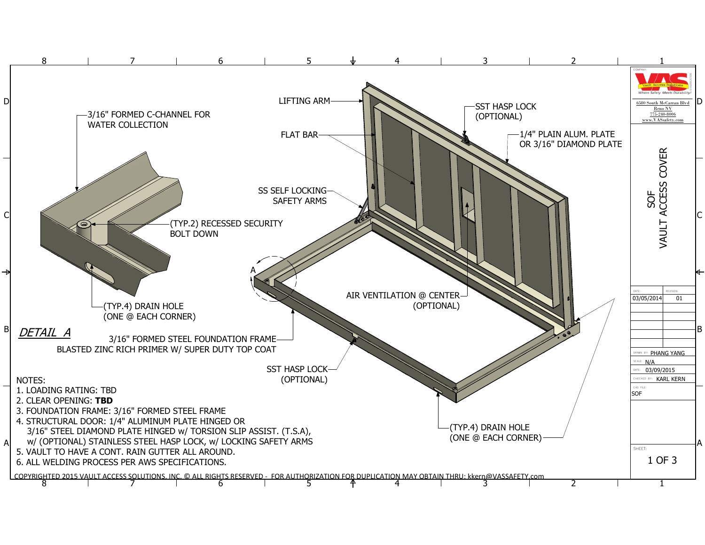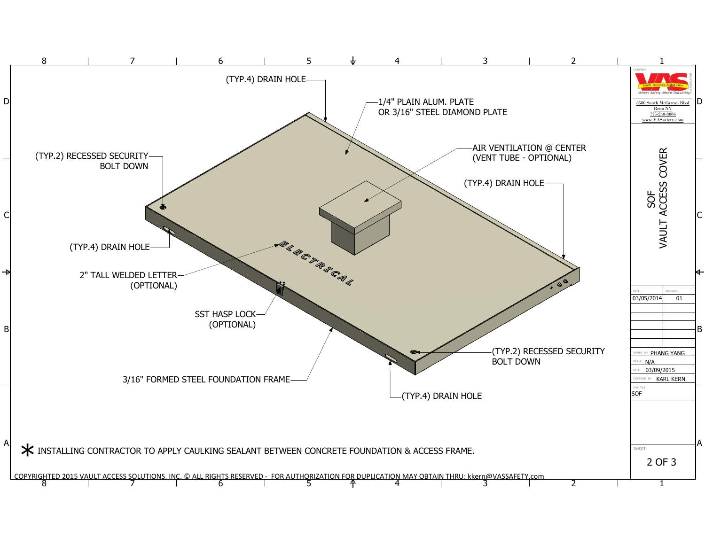